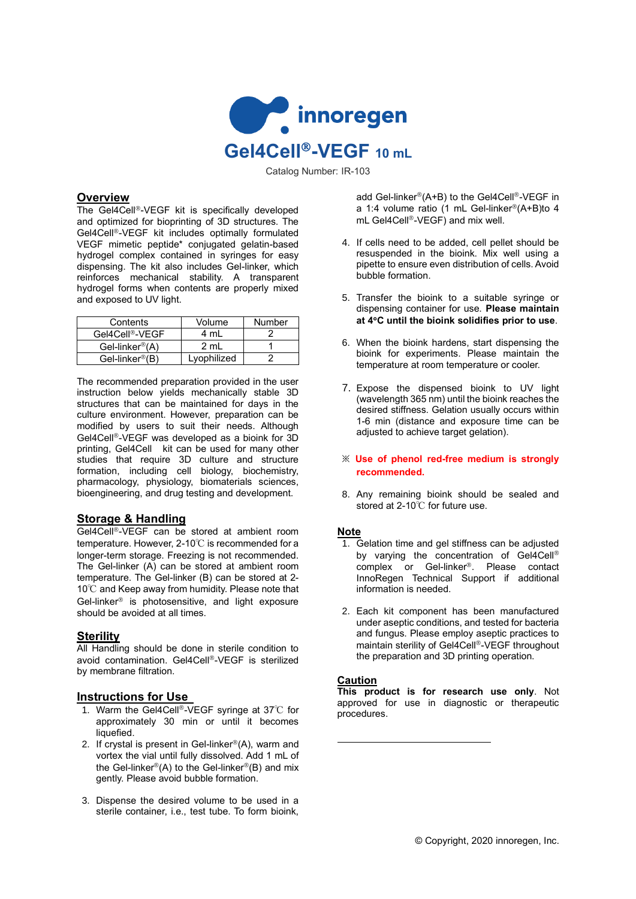

Catalog Number: IR-103

### **Overview**

The Gel4Cell<sup>®</sup>-VEGF kit is specifically developed and optimized for bioprinting of 3D structures. The Gel4Cell<sup>®</sup>-VEGF kit includes optimally formulated VEGF mimetic peptide\* conjugated gelatin-based hydrogel complex contained in syringes for easy dispensing. The kit also includes Gel-linker, which reinforces mechanical stability. A transparent hydrogel forms when contents are properly mixed and exposed to UV light.

| Contents                      | Volume      | Number |
|-------------------------------|-------------|--------|
| Gel4Cell®-VEGF                | 4 ml        |        |
| Gel-linker <sup>®</sup> $(A)$ | 2 ml        |        |
| Gel-linker®(B)                | Lyophilized |        |

The recommended preparation provided in the user instruction below yields mechanically stable 3D structures that can be maintained for days in the culture environment. However, preparation can be modified by users to suit their needs. Although Gel4Cell®-VEGF was developed as a bioink for 3D printing, Gel4Cell kit can be used for many other studies that require 3D culture and structure formation, including cell biology, biochemistry, pharmacology, physiology, biomaterials sciences, bioengineering, and drug testing and development.

# **Storage & Handling**

Gel4Cell<sup>®</sup>-VEGF can be stored at ambient room temperature. However, 2-10℃ is recommended for a longer-term storage. Freezing is not recommended. The Gel-linker (A) can be stored at ambient room temperature. The Gel-linker (B) can be stored at 2- 10℃ and Keep away from humidity. Please note that Gel-linker $\mathscr P$  is photosensitive, and light exposure should be avoided at all times.

# **Sterility**

All Handling should be done in sterile condition to avoid contamination. Gel4Cell®-VEGF is sterilized by membrane filtration.

#### **Instructions for Use**

- 1. Warm the Gel4Cell®-VEGF syringe at 37℃ for approximately 30 min or until it becomes liquefied.
- 2. If crystal is present in Gel-linker $^{\circledR}(A)$ , warm and vortex the vial until fully dissolved. Add 1 mL of the Gel-linker®(A) to the Gel-linker®(B) and mix gently. Please avoid bubble formation.
- 3. Dispense the desired volume to be used in a sterile container, i.e., test tube. To form bioink,

add Gel-linker®(A+B) to the Gel4Cell®-VEGF in a 1:4 volume ratio (1 mL Gel-linker®(A+B)to 4 mL Gel4Cell<sup>®</sup>-VEGF) and mix well.

- 4. If cells need to be added, cell pellet should be resuspended in the bioink. Mix well using a pipette to ensure even distribution of cells. Avoid bubble formation.
- 5. Transfer the bioink to a suitable syringe or dispensing container for use. **Please maintain at 4C until the bioink solidifies prior to use**.
- 6. When the bioink hardens, start dispensing the bioink for experiments. Please maintain the temperature at room temperature or cooler.
- 7. Expose the dispensed bioink to UV light (wavelength 365 nm) until the bioink reaches the desired stiffness. Gelation usually occurs within 1-6 min (distance and exposure time can be adjusted to achieve target gelation).
- ※ **Use of phenol red-free medium is strongly recommended.**
- 8. Any remaining bioink should be sealed and stored at 2-10℃ for future use.

#### **Note**

- 1. Gelation time and gel stiffness can be adjusted by varying the concentration of Gel4Cell® complex or Gel-linker<sup>®</sup>. Please contact InnoRegen Technical Support if additional information is needed.
- 2. Each kit component has been manufactured under aseptic conditions, and tested for bacteria and fungus. Please employ aseptic practices to maintain sterility of Gel4Cell®-VEGF throughout the preparation and 3D printing operation.

#### **Caution**

**This product is for research use only**. Not approved for use in diagnostic or therapeutic procedures.